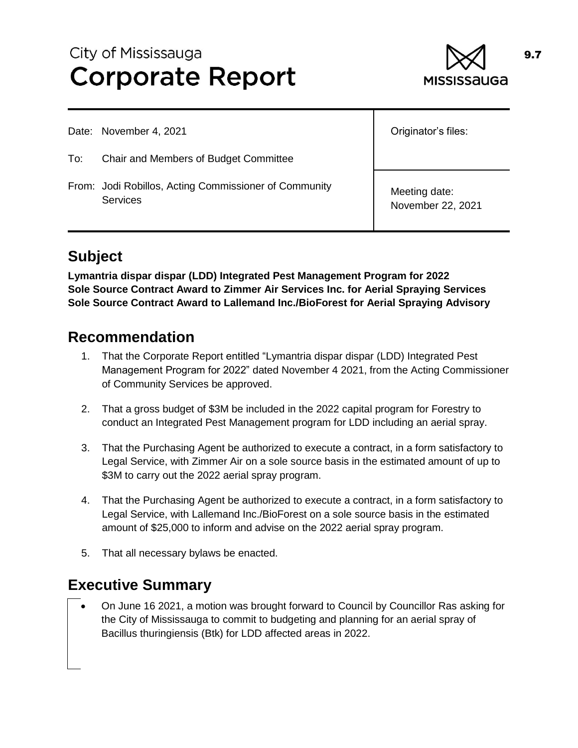# City of Mississauga **Corporate Report**



Date: November 4, 2021

- To: Chair and Members of Budget Committee
- From: Jodi Robillos, Acting Commissioner of Community **Services**

Originator's files:

Meeting date: November 22, 2021

## **Subject**

**Lymantria dispar dispar (LDD) Integrated Pest Management Program for 2022 Sole Source Contract Award to Zimmer Air Services Inc. for Aerial Spraying Services Sole Source Contract Award to Lallemand Inc./BioForest for Aerial Spraying Advisory** 

### **Recommendation**

- 1. That the Corporate Report entitled "Lymantria dispar dispar (LDD) Integrated Pest Management Program for 2022" dated November 4 2021, from the Acting Commissioner of Community Services be approved.
- 2. That a gross budget of \$3M be included in the 2022 capital program for Forestry to conduct an Integrated Pest Management program for LDD including an aerial spray.
- 3. That the Purchasing Agent be authorized to execute a contract, in a form satisfactory to Legal Service, with Zimmer Air on a sole source basis in the estimated amount of up to \$3M to carry out the 2022 aerial spray program.
- 4. That the Purchasing Agent be authorized to execute a contract, in a form satisfactory to Legal Service, with Lallemand Inc./BioForest on a sole source basis in the estimated amount of \$25,000 to inform and advise on the 2022 aerial spray program.
- 5. That all necessary bylaws be enacted.

### **Executive Summary**

 On June 16 2021, a motion was brought forward to Council by Councillor Ras asking for the City of Mississauga to commit to budgeting and planning for an aerial spray of Bacillus thuringiensis (Btk) for LDD affected areas in 2022.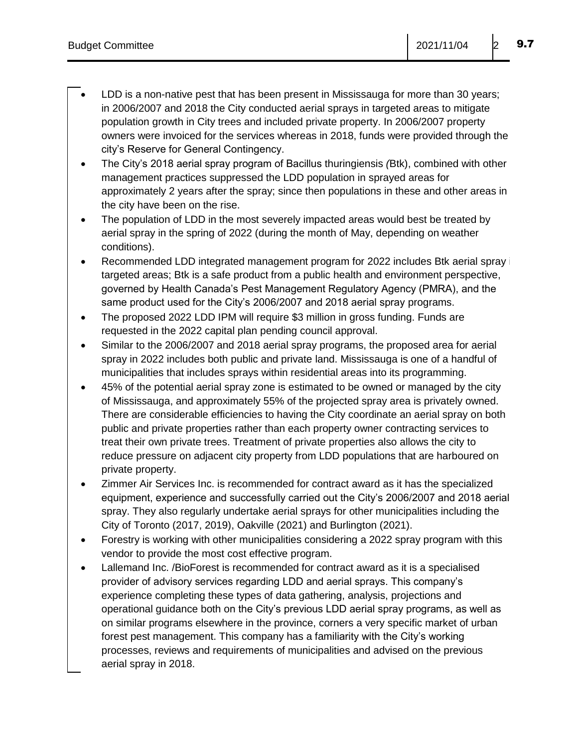- LDD is a non-native pest that has been present in Mississauga for more than 30 years; in 2006/2007 and 2018 the City conducted aerial sprays in targeted areas to mitigate population growth in City trees and included private property. In 2006/2007 property owners were invoiced for the services whereas in 2018, funds were provided through the city's Reserve for General Contingency.
- The City's 2018 aerial spray program of Bacillus thuringiensis *(*Btk), combined with other management practices suppressed the LDD population in sprayed areas for approximately 2 years after the spray; since then populations in these and other areas in the city have been on the rise.
- The population of LDD in the most severely impacted areas would best be treated by aerial spray in the spring of 2022 (during the month of May, depending on weather conditions).
- Recommended LDD integrated management program for 2022 includes Btk aerial spray in targeted areas; Btk is a safe product from a public health and environment perspective, governed by Health Canada's Pest Management Regulatory Agency (PMRA), and the same product used for the City's 2006/2007 and 2018 aerial spray programs.
- The proposed 2022 LDD IPM will require \$3 million in gross funding. Funds are requested in the 2022 capital plan pending council approval.
- Similar to the 2006/2007 and 2018 aerial spray programs, the proposed area for aerial spray in 2022 includes both public and private land. Mississauga is one of a handful of municipalities that includes sprays within residential areas into its programming.
- 45% of the potential aerial spray zone is estimated to be owned or managed by the city of Mississauga, and approximately 55% of the projected spray area is privately owned. There are considerable efficiencies to having the City coordinate an aerial spray on both public and private properties rather than each property owner contracting services to treat their own private trees. Treatment of private properties also allows the city to reduce pressure on adjacent city property from LDD populations that are harboured on private property.
- Zimmer Air Services Inc. is recommended for contract award as it has the specialized equipment, experience and successfully carried out the City's 2006/2007 and 2018 aerial spray. They also regularly undertake aerial sprays for other municipalities including the City of Toronto (2017, 2019), Oakville (2021) and Burlington (2021).
- Forestry is working with other municipalities considering a 2022 spray program with this vendor to provide the most cost effective program.
- Lallemand Inc. /BioForest is recommended for contract award as it is a specialised provider of advisory services regarding LDD and aerial sprays. This company's experience completing these types of data gathering, analysis, projections and operational guidance both on the City's previous LDD aerial spray programs, as well as on similar programs elsewhere in the province, corners a very specific market of urban forest pest management. This company has a familiarity with the City's working processes, reviews and requirements of municipalities and advised on the previous aerial spray in 2018.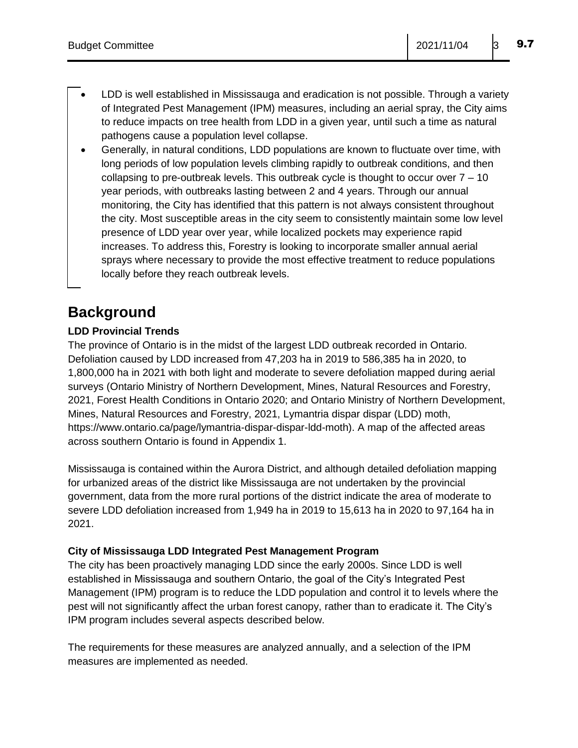- LDD is well established in Mississauga and eradication is not possible. Through a variety of Integrated Pest Management (IPM) measures, including an aerial spray, the City aims to reduce impacts on tree health from LDD in a given year, until such a time as natural pathogens cause a population level collapse.
- Generally, in natural conditions, LDD populations are known to fluctuate over time, with long periods of low population levels climbing rapidly to outbreak conditions, and then collapsing to pre-outbreak levels. This outbreak cycle is thought to occur over  $7 - 10$ year periods, with outbreaks lasting between 2 and 4 years. Through our annual monitoring, the City has identified that this pattern is not always consistent throughout the city. Most susceptible areas in the city seem to consistently maintain some low level presence of LDD year over year, while localized pockets may experience rapid increases. To address this, Forestry is looking to incorporate smaller annual aerial sprays where necessary to provide the most effective treatment to reduce populations locally before they reach outbreak levels.

# **Background**

### **LDD Provincial Trends**

The province of Ontario is in the midst of the largest LDD outbreak recorded in Ontario. Defoliation caused by LDD increased from 47,203 ha in 2019 to 586,385 ha in 2020, to 1,800,000 ha in 2021 with both light and moderate to severe defoliation mapped during aerial surveys (Ontario Ministry of Northern Development, Mines, Natural Resources and Forestry, 2021, Forest Health Conditions in Ontario 2020; and Ontario Ministry of Northern Development, Mines, Natural Resources and Forestry, 2021, Lymantria dispar dispar (LDD) moth, [https://www.ontario.ca/page/lymantria-dispar-dispar-ldd-moth\)](https://www.ontario.ca/page/lymantria-dispar-dispar-ldd-moth). A map of the affected areas across southern Ontario is found in Appendix 1.

Mississauga is contained within the Aurora District, and although detailed defoliation mapping for urbanized areas of the district like Mississauga are not undertaken by the provincial government, data from the more rural portions of the district indicate the area of moderate to severe LDD defoliation increased from 1,949 ha in 2019 to 15,613 ha in 2020 to 97,164 ha in 2021.

### **City of Mississauga LDD Integrated Pest Management Program**

The city has been proactively managing LDD since the early 2000s. Since LDD is well established in Mississauga and southern Ontario, the goal of the City's Integrated Pest Management (IPM) program is to reduce the LDD population and control it to levels where the pest will not significantly affect the urban forest canopy, rather than to eradicate it. The City's IPM program includes several aspects described below.

The requirements for these measures are analyzed annually, and a selection of the IPM measures are implemented as needed.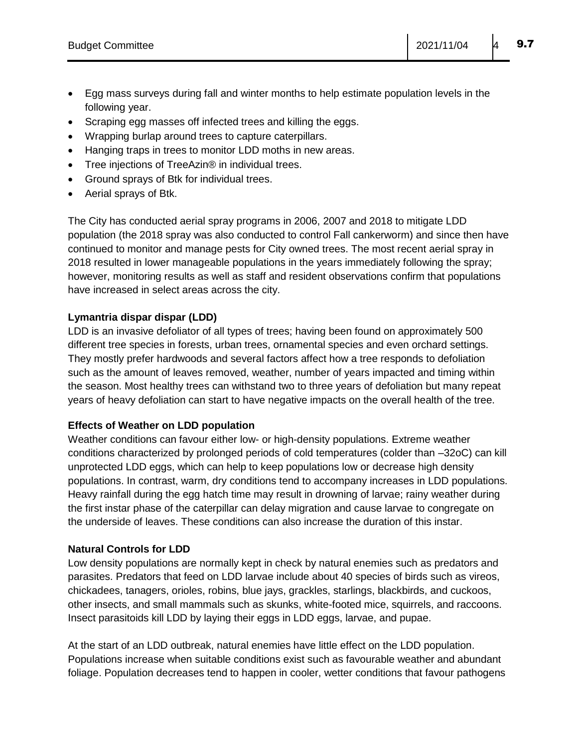- Egg mass surveys during fall and winter months to help estimate population levels in the following year.
- Scraping egg masses off infected trees and killing the eggs.
- Wrapping burlap around trees to capture caterpillars.
- Hanging traps in trees to monitor LDD moths in new areas.
- Tree injections of TreeAzin® in individual trees.
- Ground sprays of Btk for individual trees.
- Aerial sprays of Btk.

The City has conducted aerial spray programs in 2006, 2007 and 2018 to mitigate LDD population (the 2018 spray was also conducted to control Fall cankerworm) and since then have continued to monitor and manage pests for City owned trees. The most recent aerial spray in 2018 resulted in lower manageable populations in the years immediately following the spray; however, monitoring results as well as staff and resident observations confirm that populations have increased in select areas across the city.

### **Lymantria dispar dispar (LDD)**

LDD is an invasive defoliator of all types of trees; having been found on approximately 500 different tree species in forests, urban trees, ornamental species and even orchard settings. They mostly prefer hardwoods and several factors affect how a tree responds to defoliation such as the amount of leaves removed, weather, number of years impacted and timing within the season. Most healthy trees can withstand two to three years of defoliation but many repeat years of heavy defoliation can start to have negative impacts on the overall health of the tree.

### **Effects of Weather on LDD population**

Weather conditions can favour either low- or high-density populations. Extreme weather conditions characterized by prolonged periods of cold temperatures (colder than –32oC) can kill unprotected LDD eggs, which can help to keep populations low or decrease high density populations. In contrast, warm, dry conditions tend to accompany increases in LDD populations. Heavy rainfall during the egg hatch time may result in drowning of larvae; rainy weather during the first instar phase of the caterpillar can delay migration and cause larvae to congregate on the underside of leaves. These conditions can also increase the duration of this instar.

### **Natural Controls for LDD**

Low density populations are normally kept in check by natural enemies such as predators and parasites. Predators that feed on LDD larvae include about 40 species of birds such as vireos, chickadees, tanagers, orioles, robins, blue jays, grackles, starlings, blackbirds, and cuckoos, other insects, and small mammals such as skunks, white-footed mice, squirrels, and raccoons. Insect parasitoids kill LDD by laying their eggs in LDD eggs, larvae, and pupae.

At the start of an LDD outbreak, natural enemies have little effect on the LDD population. Populations increase when suitable conditions exist such as favourable weather and abundant foliage. Population decreases tend to happen in cooler, wetter conditions that favour pathogens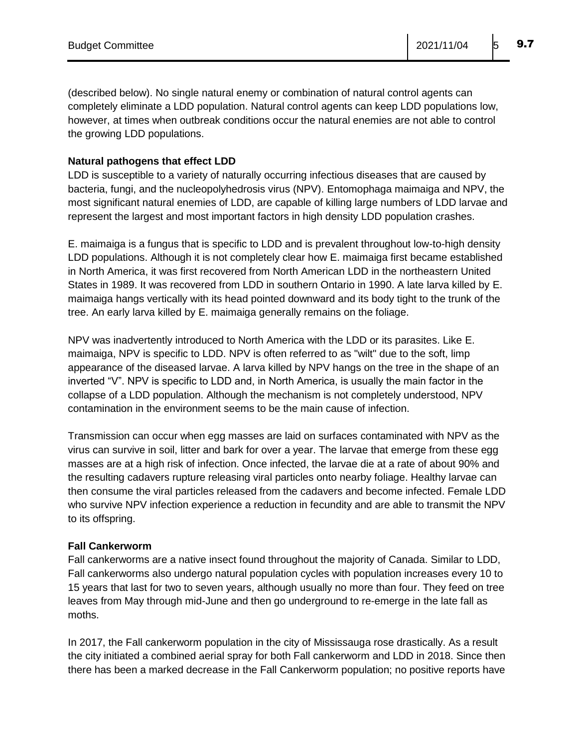(described below). No single natural enemy or combination of natural control agents can completely eliminate a LDD population. Natural control agents can keep LDD populations low, however, at times when outbreak conditions occur the natural enemies are not able to control the growing LDD populations.

### **Natural pathogens that effect LDD**

LDD is susceptible to a variety of naturally occurring infectious diseases that are caused by bacteria, fungi, and the nucleopolyhedrosis virus (NPV). Entomophaga maimaiga and NPV, the most significant natural enemies of LDD, are capable of killing large numbers of LDD larvae and represent the largest and most important factors in high density LDD population crashes.

E. maimaiga is a fungus that is specific to LDD and is prevalent throughout low-to-high density LDD populations. Although it is not completely clear how E. maimaiga first became established in North America, it was first recovered from North American LDD in the northeastern United States in 1989. It was recovered from LDD in southern Ontario in 1990. A late larva killed by E. maimaiga hangs vertically with its head pointed downward and its body tight to the trunk of the tree. An early larva killed by E. maimaiga generally remains on the foliage.

NPV was inadvertently introduced to North America with the LDD or its parasites. Like E. maimaiga, NPV is specific to LDD. NPV is often referred to as "wilt" due to the soft, limp appearance of the diseased larvae. A larva killed by NPV hangs on the tree in the shape of an inverted "V". NPV is specific to LDD and, in North America, is usually the main factor in the collapse of a LDD population. Although the mechanism is not completely understood, NPV contamination in the environment seems to be the main cause of infection.

Transmission can occur when egg masses are laid on surfaces contaminated with NPV as the virus can survive in soil, litter and bark for over a year. The larvae that emerge from these egg masses are at a high risk of infection. Once infected, the larvae die at a rate of about 90% and the resulting cadavers rupture releasing viral particles onto nearby foliage. Healthy larvae can then consume the viral particles released from the cadavers and become infected. Female LDD who survive NPV infection experience a reduction in fecundity and are able to transmit the NPV to its offspring.

### **Fall Cankerworm**

Fall cankerworms are a native insect found throughout the majority of Canada. Similar to LDD, Fall cankerworms also undergo natural population cycles with population increases every 10 to 15 years that last for two to seven years, although usually no more than four. They feed on tree leaves from May through mid-June and then go underground to re-emerge in the late fall as moths.

In 2017, the Fall cankerworm population in the city of Mississauga rose drastically. As a result the city initiated a combined aerial spray for both Fall cankerworm and LDD in 2018. Since then there has been a marked decrease in the Fall Cankerworm population; no positive reports have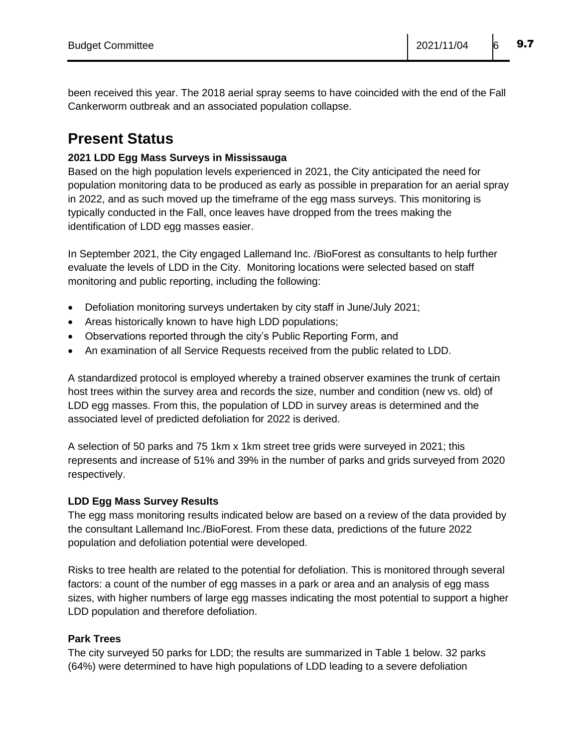been received this year. The 2018 aerial spray seems to have coincided with the end of the Fall Cankerworm outbreak and an associated population collapse.

### **Present Status**

### **2021 LDD Egg Mass Surveys in Mississauga**

Based on the high population levels experienced in 2021, the City anticipated the need for population monitoring data to be produced as early as possible in preparation for an aerial spray in 2022, and as such moved up the timeframe of the egg mass surveys. This monitoring is typically conducted in the Fall, once leaves have dropped from the trees making the identification of LDD egg masses easier.

In September 2021, the City engaged Lallemand Inc. /BioForest as consultants to help further evaluate the levels of LDD in the City. Monitoring locations were selected based on staff monitoring and public reporting, including the following:

- Defoliation monitoring surveys undertaken by city staff in June/July 2021;
- Areas historically known to have high LDD populations;
- Observations reported through the city's Public Reporting Form, and
- An examination of all Service Requests received from the public related to LDD.

A standardized protocol is employed whereby a trained observer examines the trunk of certain host trees within the survey area and records the size, number and condition (new vs. old) of LDD egg masses. From this, the population of LDD in survey areas is determined and the associated level of predicted defoliation for 2022 is derived.

A selection of 50 parks and 75 1km x 1km street tree grids were surveyed in 2021; this represents and increase of 51% and 39% in the number of parks and grids surveyed from 2020 respectively.

### **LDD Egg Mass Survey Results**

The egg mass monitoring results indicated below are based on a review of the data provided by the consultant Lallemand Inc./BioForest. From these data, predictions of the future 2022 population and defoliation potential were developed.

Risks to tree health are related to the potential for defoliation. This is monitored through several factors: a count of the number of egg masses in a park or area and an analysis of egg mass sizes, with higher numbers of large egg masses indicating the most potential to support a higher LDD population and therefore defoliation.

### **Park Trees**

The city surveyed 50 parks for LDD; the results are summarized in Table 1 below. 32 parks (64%) were determined to have high populations of LDD leading to a severe defoliation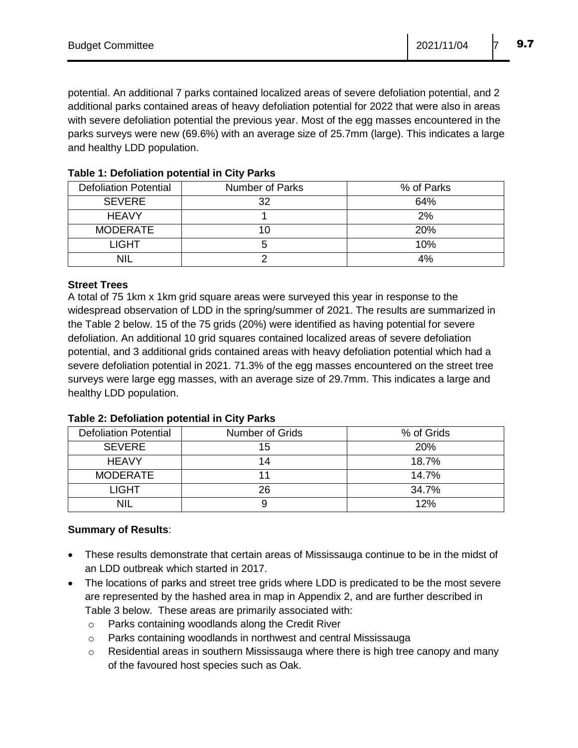potential. An additional 7 parks contained localized areas of severe defoliation potential, and 2 additional parks contained areas of heavy defoliation potential for 2022 that were also in areas with severe defoliation potential the previous year. Most of the egg masses encountered in the parks surveys were new (69.6%) with an average size of 25.7mm (large). This indicates a large and healthy LDD population.

| <b>Defoliation Potential</b> | Number of Parks | % of Parks |
|------------------------------|-----------------|------------|
| <b>SEVERE</b>                | 32              | 64%        |
| <b>HEAVY</b>                 |                 | 2%         |
| <b>MODERATE</b>              |                 | <b>20%</b> |
| <b>LIGHT</b>                 |                 | 10%        |
|                              |                 | 4%         |

### **Table 1: Defoliation potential in City Parks**

### **Street Trees**

A total of 75 1km x 1km grid square areas were surveyed this year in response to the widespread observation of LDD in the spring/summer of 2021. The results are summarized in the Table 2 below. 15 of the 75 grids (20%) were identified as having potential for severe defoliation. An additional 10 grid squares contained localized areas of severe defoliation potential, and 3 additional grids contained areas with heavy defoliation potential which had a severe defoliation potential in 2021. 71.3% of the egg masses encountered on the street tree surveys were large egg masses, with an average size of 29.7mm. This indicates a large and healthy LDD population.

| <b>Defoliation Potential</b> | Number of Grids | % of Grids |
|------------------------------|-----------------|------------|
| <b>SEVERE</b>                | 15              | <b>20%</b> |
| <b>HEAVY</b>                 |                 | 18.7%      |
| <b>MODERATE</b>              |                 | 14.7%      |
| <b>LIGHT</b>                 | 26              | 34.7%      |
| <b>NIL</b>                   |                 | 12%        |

### **Table 2: Defoliation potential in City Parks**

### **Summary of Results**:

- These results demonstrate that certain areas of Mississauga continue to be in the midst of an LDD outbreak which started in 2017.
- The locations of parks and street tree grids where LDD is predicated to be the most severe are represented by the hashed area in map in Appendix 2, and are further described in Table 3 below. These areas are primarily associated with:
	- o Parks containing woodlands along the Credit River
	- o Parks containing woodlands in northwest and central Mississauga
	- o Residential areas in southern Mississauga where there is high tree canopy and many of the favoured host species such as Oak.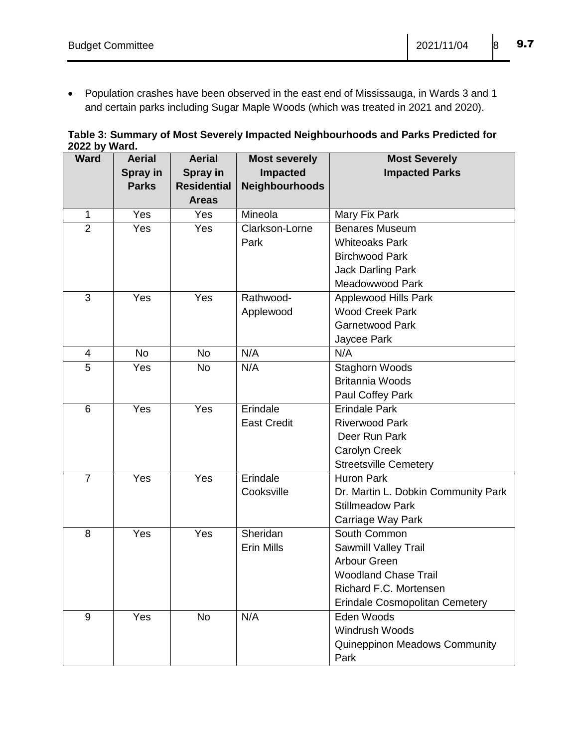Population crashes have been observed in the east end of Mississauga, in Wards 3 and 1 and certain parks including Sugar Maple Woods (which was treated in 2021 and 2020).

|               | Table 3: Summary of Most Severely Impacted Neighbourhoods and Parks Predicted for |
|---------------|-----------------------------------------------------------------------------------|
| 2022 by Ward. |                                                                                   |

| <b>Ward</b>    | <b>Aerial</b> | <b>Aerial</b>      | <b>Most severely</b> | <b>Most Severely</b>                  |  |
|----------------|---------------|--------------------|----------------------|---------------------------------------|--|
|                | Spray in      | Spray in           | Impacted             | <b>Impacted Parks</b>                 |  |
|                | <b>Parks</b>  | <b>Residential</b> | Neighbourhoods       |                                       |  |
|                |               | <b>Areas</b>       |                      |                                       |  |
| $\mathbf{1}$   | Yes           | Yes                | Mineola              | Mary Fix Park                         |  |
| $\overline{2}$ | Yes           | Yes                | Clarkson-Lorne       | <b>Benares Museum</b>                 |  |
|                |               |                    | Park                 | <b>Whiteoaks Park</b>                 |  |
|                |               |                    |                      | <b>Birchwood Park</b>                 |  |
|                |               |                    |                      | <b>Jack Darling Park</b>              |  |
|                |               |                    |                      | Meadowwood Park                       |  |
| 3              | Yes           | Yes                | Rathwood-            | Applewood Hills Park                  |  |
|                |               |                    | Applewood            | <b>Wood Creek Park</b>                |  |
|                |               |                    |                      | <b>Garnetwood Park</b>                |  |
|                |               |                    |                      | Jaycee Park                           |  |
| 4              | <b>No</b>     | <b>No</b>          | N/A                  | N/A                                   |  |
| 5              | Yes           | <b>No</b>          | N/A                  | <b>Staghorn Woods</b>                 |  |
|                |               |                    |                      | <b>Britannia Woods</b>                |  |
|                |               |                    |                      | Paul Coffey Park                      |  |
| 6              | Yes           | Yes                | Erindale             | <b>Erindale Park</b>                  |  |
|                |               |                    | <b>East Credit</b>   | <b>Riverwood Park</b>                 |  |
|                |               |                    |                      | Deer Run Park                         |  |
|                |               |                    |                      | Carolyn Creek                         |  |
|                |               |                    |                      | <b>Streetsville Cemetery</b>          |  |
| $\overline{7}$ | Yes           | Yes                | Erindale             | <b>Huron Park</b>                     |  |
|                |               |                    | Cooksville           | Dr. Martin L. Dobkin Community Park   |  |
|                |               |                    |                      | <b>Stillmeadow Park</b>               |  |
|                |               |                    |                      | Carriage Way Park                     |  |
| 8              | Yes           | Yes                | Sheridan             | South Common                          |  |
|                |               |                    | Erin Mills           | Sawmill Valley Trail                  |  |
|                |               |                    |                      | Arbour Green                          |  |
|                |               |                    |                      | <b>Woodland Chase Trail</b>           |  |
|                |               |                    |                      | Richard F.C. Mortensen                |  |
|                |               |                    |                      | <b>Erindale Cosmopolitan Cemetery</b> |  |
| 9              | Yes           | <b>No</b>          | N/A                  | Eden Woods                            |  |
|                |               |                    |                      | Windrush Woods                        |  |
|                |               |                    |                      | <b>Quineppinon Meadows Community</b>  |  |
|                |               |                    |                      | Park                                  |  |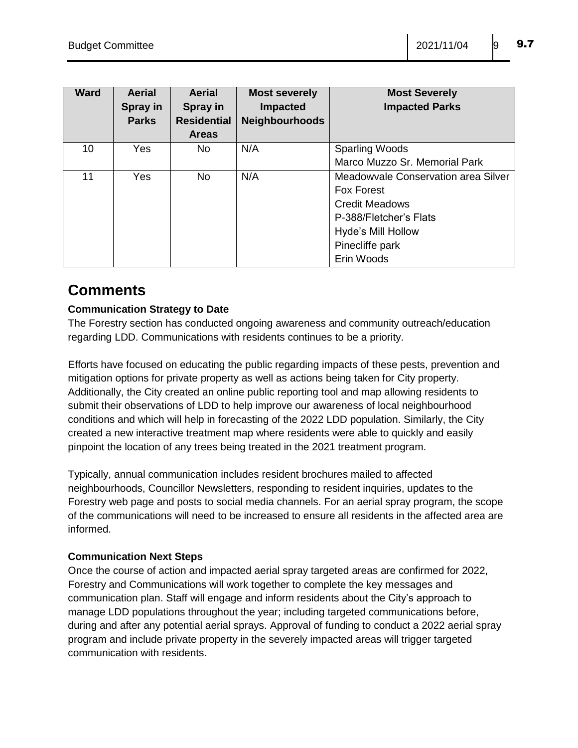| <b>Ward</b> | <b>Aerial</b><br>Spray in<br><b>Parks</b> | <b>Aerial</b><br>Spray in<br><b>Residential</b><br><b>Areas</b> | <b>Most severely</b><br><b>Impacted</b><br><b>Neighbourhoods</b> | <b>Most Severely</b><br><b>Impacted Parks</b> |
|-------------|-------------------------------------------|-----------------------------------------------------------------|------------------------------------------------------------------|-----------------------------------------------|
| 10          | <b>Yes</b>                                | No.                                                             | N/A                                                              | <b>Sparling Woods</b>                         |
|             |                                           |                                                                 |                                                                  | Marco Muzzo Sr. Memorial Park                 |
| 11          | Yes                                       | No                                                              | N/A                                                              | Meadowyale Conservation area Silver           |
|             |                                           |                                                                 |                                                                  | <b>Fox Forest</b>                             |
|             |                                           |                                                                 |                                                                  | <b>Credit Meadows</b>                         |
|             |                                           |                                                                 |                                                                  | P-388/Fletcher's Flats                        |
|             |                                           |                                                                 |                                                                  | Hyde's Mill Hollow                            |
|             |                                           |                                                                 |                                                                  | Pinecliffe park                               |
|             |                                           |                                                                 |                                                                  | Erin Woods                                    |

### **Comments**

### **Communication Strategy to Date**

The Forestry section has conducted ongoing awareness and community outreach/education regarding LDD. Communications with residents continues to be a priority.

Efforts have focused on educating the public regarding impacts of these pests, prevention and mitigation options for private property as well as actions being taken for City property. Additionally, the City created an online public reporting tool and map allowing residents to submit their observations of LDD to help improve our awareness of local neighbourhood conditions and which will help in forecasting of the 2022 LDD population. Similarly, the City created a new interactive treatment map where residents were able to quickly and easily pinpoint the location of any trees being treated in the 2021 treatment program.

Typically, annual communication includes resident brochures mailed to affected neighbourhoods, Councillor Newsletters, responding to resident inquiries, updates to the Forestry web page and posts to social media channels. For an aerial spray program, the scope of the communications will need to be increased to ensure all residents in the affected area are informed.

### **Communication Next Steps**

Once the course of action and impacted aerial spray targeted areas are confirmed for 2022, Forestry and Communications will work together to complete the key messages and communication plan. Staff will engage and inform residents about the City's approach to manage LDD populations throughout the year; including targeted communications before, during and after any potential aerial sprays. Approval of funding to conduct a 2022 aerial spray program and include private property in the severely impacted areas will trigger targeted communication with residents.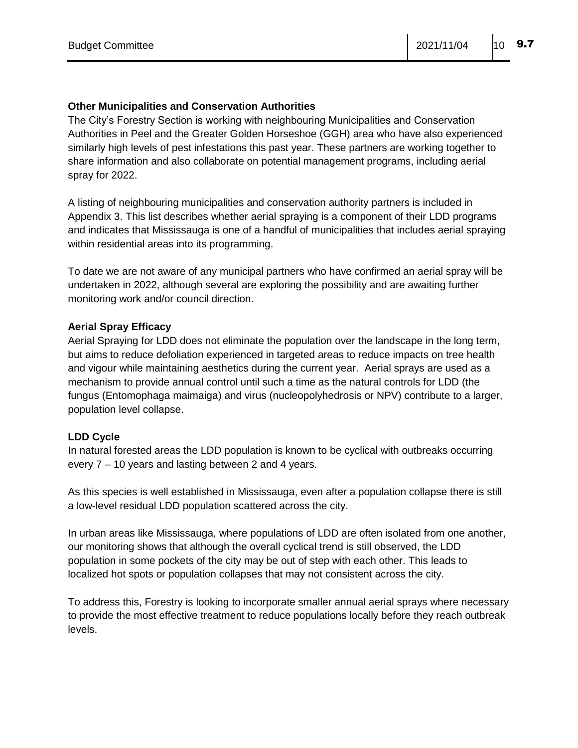### **Other Municipalities and Conservation Authorities**

The City's Forestry Section is working with neighbouring Municipalities and Conservation Authorities in Peel and the Greater Golden Horseshoe (GGH) area who have also experienced similarly high levels of pest infestations this past year. These partners are working together to share information and also collaborate on potential management programs, including aerial spray for 2022.

A listing of neighbouring municipalities and conservation authority partners is included in Appendix 3. This list describes whether aerial spraying is a component of their LDD programs and indicates that Mississauga is one of a handful of municipalities that includes aerial spraying within residential areas into its programming.

To date we are not aware of any municipal partners who have confirmed an aerial spray will be undertaken in 2022, although several are exploring the possibility and are awaiting further monitoring work and/or council direction.

### **Aerial Spray Efficacy**

Aerial Spraying for LDD does not eliminate the population over the landscape in the long term, but aims to reduce defoliation experienced in targeted areas to reduce impacts on tree health and vigour while maintaining aesthetics during the current year. Aerial sprays are used as a mechanism to provide annual control until such a time as the natural controls for LDD (the fungus (Entomophaga maimaiga) and virus (nucleopolyhedrosis or NPV) contribute to a larger, population level collapse.

### **LDD Cycle**

In natural forested areas the LDD population is known to be cyclical with outbreaks occurring every 7 – 10 years and lasting between 2 and 4 years.

As this species is well established in Mississauga, even after a population collapse there is still a low-level residual LDD population scattered across the city.

In urban areas like Mississauga, where populations of LDD are often isolated from one another, our monitoring shows that although the overall cyclical trend is still observed, the LDD population in some pockets of the city may be out of step with each other. This leads to localized hot spots or population collapses that may not consistent across the city.

To address this, Forestry is looking to incorporate smaller annual aerial sprays where necessary to provide the most effective treatment to reduce populations locally before they reach outbreak levels.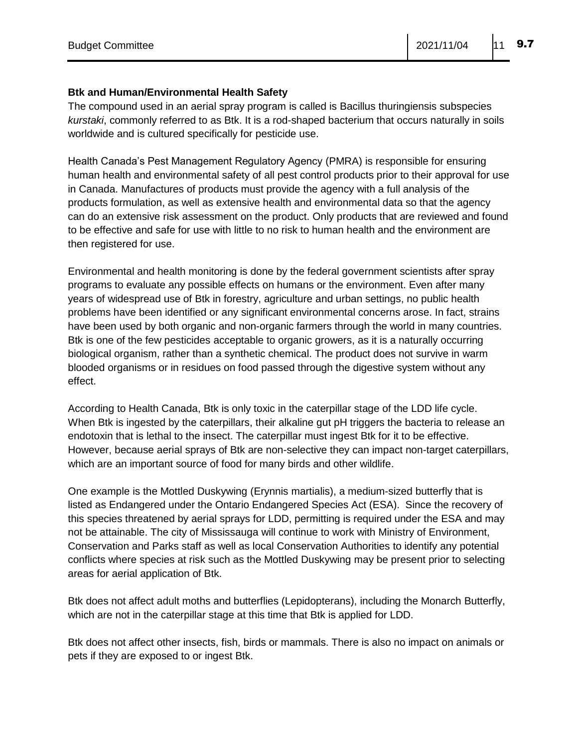#### **Btk and Human/Environmental Health Safety**

The compound used in an aerial spray program is called is Bacillus thuringiensis subspecies *kurstaki*, commonly referred to as Btk. It is a rod-shaped bacterium that occurs naturally in soils worldwide and is cultured specifically for pesticide use.

Health Canada's Pest Management Regulatory Agency (PMRA) is responsible for ensuring human health and environmental safety of all pest control products prior to their approval for use in Canada. Manufactures of products must provide the agency with a full analysis of the products formulation, as well as extensive health and environmental data so that the agency can do an extensive risk assessment on the product. Only products that are reviewed and found to be effective and safe for use with little to no risk to human health and the environment are then registered for use.

Environmental and health monitoring is done by the federal government scientists after spray programs to evaluate any possible effects on humans or the environment. Even after many years of widespread use of Btk in forestry, agriculture and urban settings, no public health problems have been identified or any significant environmental concerns arose. In fact, strains have been used by both organic and non-organic farmers through the world in many countries. Btk is one of the few pesticides acceptable to organic growers, as it is a naturally occurring biological organism, rather than a synthetic chemical. The product does not survive in warm blooded organisms or in residues on food passed through the digestive system without any effect.

According to Health Canada, Btk is only toxic in the caterpillar stage of the LDD life cycle. When Btk is ingested by the caterpillars, their alkaline gut pH triggers the bacteria to release an endotoxin that is lethal to the insect. The caterpillar must ingest Btk for it to be effective. However, because aerial sprays of Btk are non-selective they can impact non-target caterpillars, which are an important source of food for many birds and other wildlife.

One example is the Mottled Duskywing (Erynnis martialis), a medium-sized butterfly that is listed as Endangered under the Ontario Endangered Species Act (ESA). Since the recovery of this species threatened by aerial sprays for LDD, permitting is required under the ESA and may not be attainable. The city of Mississauga will continue to work with Ministry of Environment, Conservation and Parks staff as well as local Conservation Authorities to identify any potential conflicts where species at risk such as the Mottled Duskywing may be present prior to selecting areas for aerial application of Btk.

Btk does not affect adult moths and butterflies (Lepidopterans), including the Monarch Butterfly, which are not in the caterpillar stage at this time that Btk is applied for LDD.

Btk does not affect other insects, fish, birds or mammals. There is also no impact on animals or pets if they are exposed to or ingest Btk.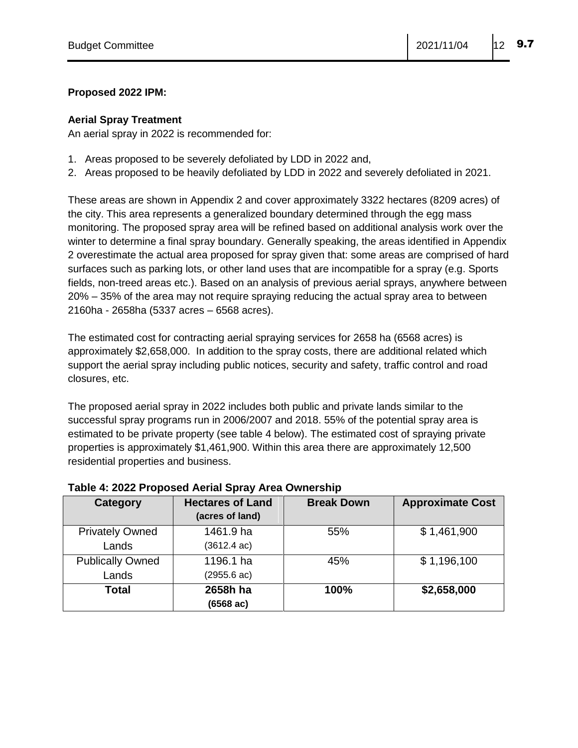### **Proposed 2022 IPM:**

#### **Aerial Spray Treatment**

An aerial spray in 2022 is recommended for:

- 1. Areas proposed to be severely defoliated by LDD in 2022 and,
- 2. Areas proposed to be heavily defoliated by LDD in 2022 and severely defoliated in 2021.

These areas are shown in Appendix 2 and cover approximately 3322 hectares (8209 acres) of the city. This area represents a generalized boundary determined through the egg mass monitoring. The proposed spray area will be refined based on additional analysis work over the winter to determine a final spray boundary. Generally speaking, the areas identified in Appendix 2 overestimate the actual area proposed for spray given that: some areas are comprised of hard surfaces such as parking lots, or other land uses that are incompatible for a spray (e.g. Sports fields, non-treed areas etc.). Based on an analysis of previous aerial sprays, anywhere between 20% – 35% of the area may not require spraying reducing the actual spray area to between 2160ha - 2658ha (5337 acres – 6568 acres).

The estimated cost for contracting aerial spraying services for 2658 ha (6568 acres) is approximately \$2,658,000. In addition to the spray costs, there are additional related which support the aerial spray including public notices, security and safety, traffic control and road closures, etc.

The proposed aerial spray in 2022 includes both public and private lands similar to the successful spray programs run in 2006/2007 and 2018. 55% of the potential spray area is estimated to be private property (see table 4 below). The estimated cost of spraying private properties is approximately \$1,461,900. Within this area there are approximately 12,500 residential properties and business.

| Category                | <b>Hectares of Land</b><br>(acres of land) | <b>Break Down</b> | <b>Approximate Cost</b> |
|-------------------------|--------------------------------------------|-------------------|-------------------------|
| <b>Privately Owned</b>  | 1461.9 ha                                  | 55%               | \$1,461,900             |
| Lands                   | $(3612.4 \text{ ac})$                      |                   |                         |
| <b>Publically Owned</b> | 1196.1 ha                                  | 45%               | \$1,196,100             |
| Lands                   | (2955.6 ac)                                |                   |                         |
| <b>Total</b>            | 2658h ha                                   | 100%              | \$2,658,000             |
|                         | (6568 ac)                                  |                   |                         |

#### **Table 4: 2022 Proposed Aerial Spray Area Ownership**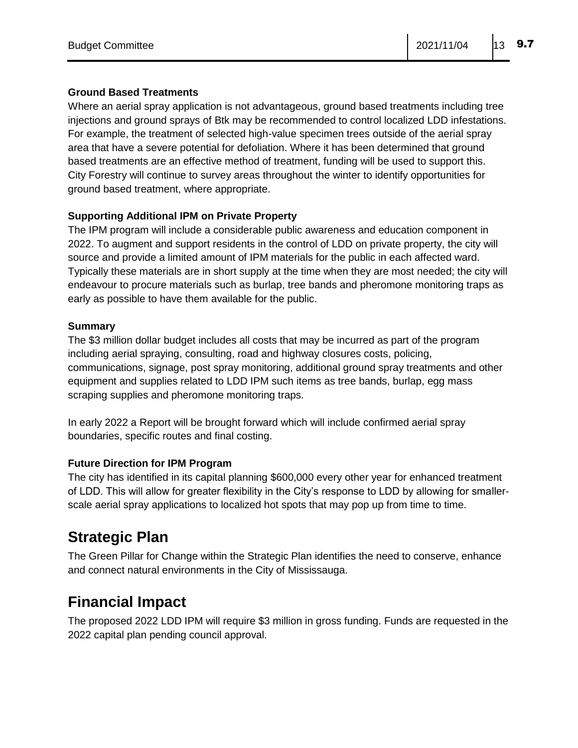### **Ground Based Treatments**

Where an aerial spray application is not advantageous, ground based treatments including tree injections and ground sprays of Btk may be recommended to control localized LDD infestations. For example, the treatment of selected high-value specimen trees outside of the aerial spray area that have a severe potential for defoliation. Where it has been determined that ground based treatments are an effective method of treatment, funding will be used to support this. City Forestry will continue to survey areas throughout the winter to identify opportunities for ground based treatment, where appropriate.

### **Supporting Additional IPM on Private Property**

The IPM program will include a considerable public awareness and education component in 2022. To augment and support residents in the control of LDD on private property, the city will source and provide a limited amount of IPM materials for the public in each affected ward. Typically these materials are in short supply at the time when they are most needed; the city will endeavour to procure materials such as burlap, tree bands and pheromone monitoring traps as early as possible to have them available for the public.

### **Summary**

The \$3 million dollar budget includes all costs that may be incurred as part of the program including aerial spraying, consulting, road and highway closures costs, policing, communications, signage, post spray monitoring, additional ground spray treatments and other equipment and supplies related to LDD IPM such items as tree bands, burlap, egg mass scraping supplies and pheromone monitoring traps.

In early 2022 a Report will be brought forward which will include confirmed aerial spray boundaries, specific routes and final costing.

### **Future Direction for IPM Program**

The city has identified in its capital planning \$600,000 every other year for enhanced treatment of LDD. This will allow for greater flexibility in the City's response to LDD by allowing for smallerscale aerial spray applications to localized hot spots that may pop up from time to time.

### **Strategic Plan**

The Green Pillar for Change within the Strategic Plan identifies the need to conserve, enhance and connect natural environments in the City of Mississauga.

### **Financial Impact**

The proposed 2022 LDD IPM will require \$3 million in gross funding. Funds are requested in the 2022 capital plan pending council approval.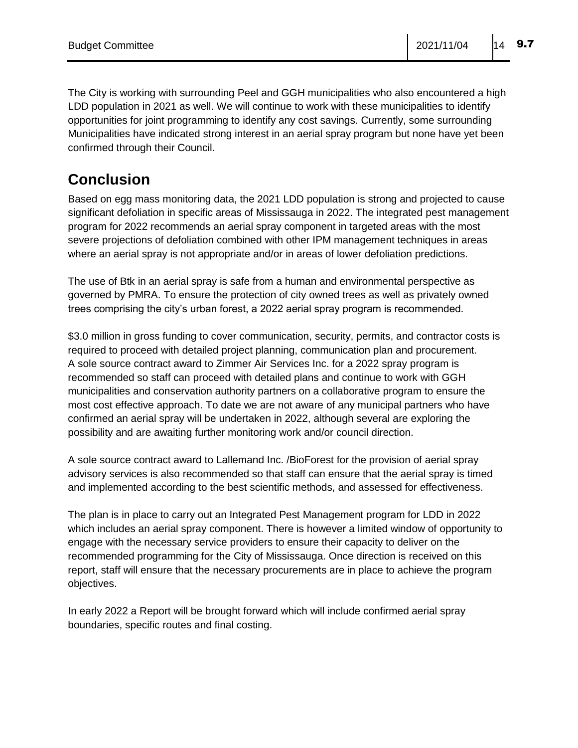The City is working with surrounding Peel and GGH municipalities who also encountered a high LDD population in 2021 as well. We will continue to work with these municipalities to identify opportunities for joint programming to identify any cost savings. Currently, some surrounding Municipalities have indicated strong interest in an aerial spray program but none have yet been confirmed through their Council.

# **Conclusion**

Based on egg mass monitoring data, the 2021 LDD population is strong and projected to cause significant defoliation in specific areas of Mississauga in 2022. The integrated pest management program for 2022 recommends an aerial spray component in targeted areas with the most severe projections of defoliation combined with other IPM management techniques in areas where an aerial spray is not appropriate and/or in areas of lower defoliation predictions.

The use of Btk in an aerial spray is safe from a human and environmental perspective as governed by PMRA. To ensure the protection of city owned trees as well as privately owned trees comprising the city's urban forest, a 2022 aerial spray program is recommended.

\$3.0 million in gross funding to cover communication, security, permits, and contractor costs is required to proceed with detailed project planning, communication plan and procurement. A sole source contract award to Zimmer Air Services Inc. for a 2022 spray program is recommended so staff can proceed with detailed plans and continue to work with GGH municipalities and conservation authority partners on a collaborative program to ensure the most cost effective approach. To date we are not aware of any municipal partners who have confirmed an aerial spray will be undertaken in 2022, although several are exploring the possibility and are awaiting further monitoring work and/or council direction.

A sole source contract award to Lallemand Inc. /BioForest for the provision of aerial spray advisory services is also recommended so that staff can ensure that the aerial spray is timed and implemented according to the best scientific methods, and assessed for effectiveness.

The plan is in place to carry out an Integrated Pest Management program for LDD in 2022 which includes an aerial spray component. There is however a limited window of opportunity to engage with the necessary service providers to ensure their capacity to deliver on the recommended programming for the City of Mississauga. Once direction is received on this report, staff will ensure that the necessary procurements are in place to achieve the program objectives.

In early 2022 a Report will be brought forward which will include confirmed aerial spray boundaries, specific routes and final costing.